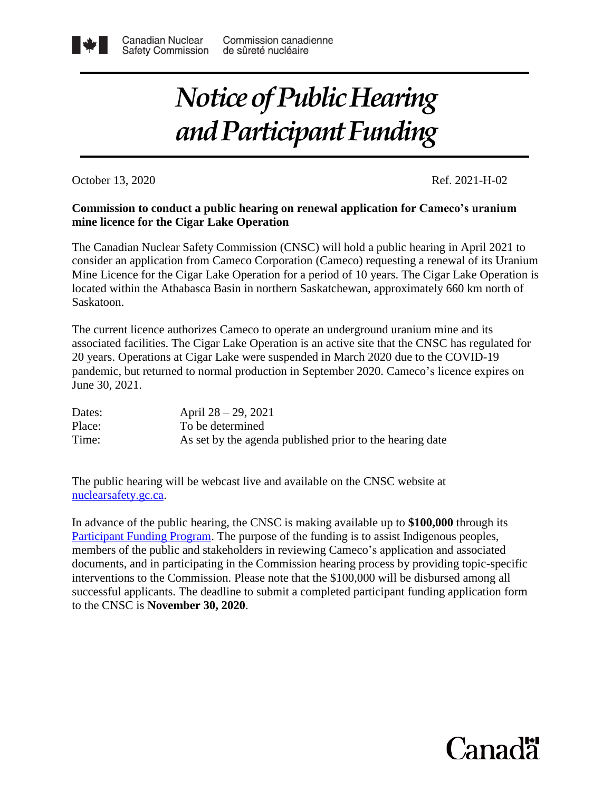## *Notice of Public Hearing and Participant Funding*

October 13, 2020 Ref. 2021-H-02

### **Commission to conduct a public hearing on renewal application for Cameco's uranium mine licence for the Cigar Lake Operation**

The Canadian Nuclear Safety Commission (CNSC) will hold a public hearing in April 2021 to consider an application from Cameco Corporation (Cameco) requesting a renewal of its Uranium Mine Licence for the Cigar Lake Operation for a period of 10 years. The Cigar Lake Operation is located within the Athabasca Basin in northern Saskatchewan, approximately 660 km north of Saskatoon.

The current licence authorizes Cameco to operate an underground uranium mine and its associated facilities. The Cigar Lake Operation is an active site that the CNSC has regulated for 20 years. Operations at Cigar Lake were suspended in March 2020 due to the COVID-19 pandemic, but returned to normal production in September 2020. Cameco's licence expires on June 30, 2021.

| Dates: | April $28 - 29$ , 2021                                   |
|--------|----------------------------------------------------------|
| Place: | To be determined                                         |
| Time:  | As set by the agenda published prior to the hearing date |

The public hearing will be webcast live and available on the CNSC website at [nuclearsafety.gc.ca.](http://www.nuclearsafety.gc.ca/eng/)

In advance of the public hearing, the CNSC is making available up to **\$100,000** through its [Participant Funding Program.](http://www.suretenucleaire.gc.ca/eng/the-commission/participant-funding-program/opportunities/index.cfm) The purpose of the funding is to assist Indigenous peoples, members of the public and stakeholders in reviewing Cameco's application and associated documents, and in participating in the Commission hearing process by providing topic-specific interventions to the Commission. Please note that the \$100,000 will be disbursed among all successful applicants. The deadline to submit a completed participant funding application form to the CNSC is **November 30, 2020**.

# Canadä